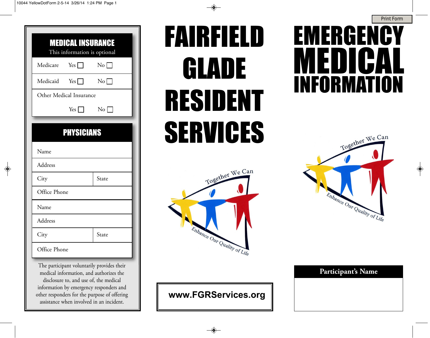

| <b>MEDICAL INSURANCE</b><br>This information is optional |                     |          |  |  |  |
|----------------------------------------------------------|---------------------|----------|--|--|--|
|                                                          | Medicare Yes $\Box$ | No       |  |  |  |
| Medicaid Yes $\Box$                                      |                     | $\rm No$ |  |  |  |
| Other Medical Insurance                                  |                     |          |  |  |  |
|                                                          | $Yes \Box$          | $\rm No$ |  |  |  |
|                                                          |                     |          |  |  |  |
| <b>PHYSICIANS</b>                                        |                     |          |  |  |  |
| Name                                                     |                     |          |  |  |  |
| Address                                                  |                     |          |  |  |  |
|                                                          |                     |          |  |  |  |
| City                                                     |                     | State    |  |  |  |
| Office Phone                                             |                     |          |  |  |  |
| Name                                                     |                     |          |  |  |  |
| Address                                                  |                     |          |  |  |  |
| City                                                     |                     | State    |  |  |  |

The participant voluntarily provides their medical information, and authorizes the disclosure to, and use of, the medical information by emergency responders and other responders for the purpose of offering assistance when involved in an incident.

## FAIRFIELD GLADE RESIDENT SERVICES



## **www.FGRServices.org**

## EMERGENCY MEDICAL INFORMATION



|  | Participant's Name |
|--|--------------------|
|  |                    |